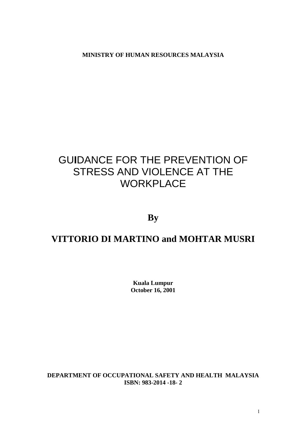**MINISTRY OF HUMAN RESOURCES MALAYSIA**

# GU**I**DANCE FOR THE PREVENTION OF STRESS AND VIOLENCE AT THE **WORKPLACE**

**By**

# **VITTORIO DI MARTINO and MOHTAR MUSRI**

**Kuala Lumpur October 16, 2001**

**DEPARTMENT OF OCCUPATIONAL SAFETY AND HEALTH MALAYSIA ISBN: 983-2014 -18- 2**

1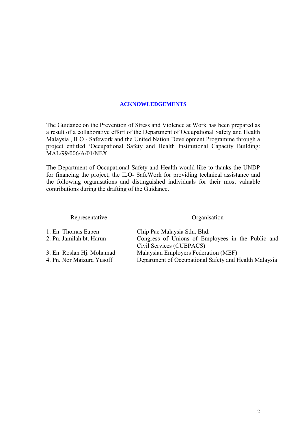#### **ACKNOWLEDGEMENTS**

<span id="page-1-0"></span>The Guidance on the Prevention of Stress and Violence at Work has been prepared as a result of a collaborative effort of the Department of Occupational Safety and Health Malaysia , ILO - Safework and the United Nation Development Programme through a project entitled 'Occupational Safety and Health Institutional Capacity Building: MAL/99/006/A/01/NEX.

The Department of Occupational Safety and Health would like to thanks the UNDP for financing the project, the ILO- SafeWork for providing technical assistance and the following organisations and distinguished individuals for their most valuable contributions during the drafting of the Guidance.

#### Representative Organisation

| 1. En. Thomas Eapen       | Chip Pac Malaysia Sdn. Bhd.                           |
|---------------------------|-------------------------------------------------------|
| 2. Pn. Jamilah bt. Harun  | Congress of Unions of Employees in the Public and     |
|                           | Civil Services (CUEPACS)                              |
| 3. En. Roslan Hj. Mohamad | Malaysian Employers Federation (MEF)                  |
| 4. Pn. Nor Maizura Yusoff | Department of Occupational Safety and Health Malaysia |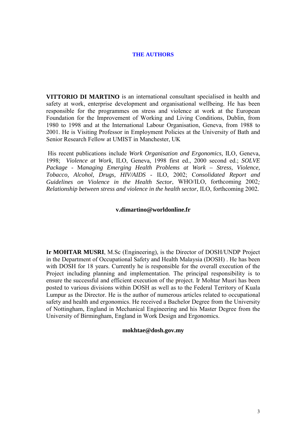#### **THE AUTHORS**

<span id="page-2-0"></span>**VITTORIO DI MARTINO** is an international consultant specialised in health and safety at work, enterprise development and organisational wellbeing. He has been responsible for the programmes on stress and violence at work at the European Foundation for the Improvement of Working and Living Conditions, Dublin, from 1980 to 1998 and at the International Labour Organisation, Geneva, from 1988 to 2001. He is Visiting Professor in Employment Policies at the University of Bath and Senior Research Fellow at UMIST in Manchester, UK

 His recent publications include *Work Organisation and Ergonomics,* ILO, Geneva, 1998; *Violence at Work,* ILO, Geneva, 1998 first ed., 2000 second ed.; *SOLVE Package* - M*anaging Emerging Health Problems at Work – Stress, Violence, Tobacco, Alcohol, Drugs, HIV/AIDS* - ILO, 2002; C*onsolidated Report and Guidelines on Violence in the Health Sector*, WHO/ILO, forthcoming 2002*; Relationship between stress and violence in the health sector*, ILO, forthcoming 2002*.*

#### **v.dimartino@worldonline.fr**

**Ir MOHTAR MUSRI**, M.Sc (Engineering), is the Director of DOSH/UNDP Project in the Department of Occupational Safety and Health Malaysia (DOSH) . He has been with DOSH for 18 years. Currently he is responsible for the overall execution of the Project including planning and implementation. The principal responsibility is to ensure the successful and efficient execution of the project. Ir Mohtar Musri has been posted to various divisions within DOSH as well as to the Federal Territory of Kuala Lumpur as the Director. He is the author of numerous articles related to occupational safety and health and ergonomics. He received a Bachelor Degree from the University of Nottingham, England in Mechanical Engineering and his Master Degree from the University of Birmingham, England in Work Design and Ergonomics.

#### **mokhtae@dosh.gov.my**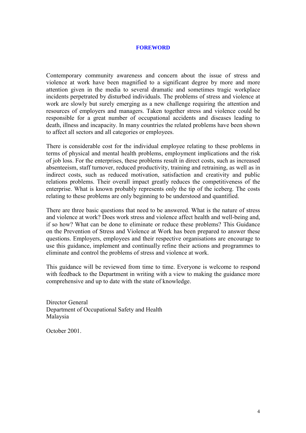#### **FOREWORD**

<span id="page-3-0"></span>Contemporary community awareness and concern about the issue of stress and violence at work have been magnified to a significant degree by more and more attention given in the media to several dramatic and sometimes tragic workplace incidents perpetrated by disturbed individuals. The problems of stress and violence at work are slowly but surely emerging as a new challenge requiring the attention and resources of employers and managers. Taken together stress and violence could be responsible for a great number of occupational accidents and diseases leading to death, illness and incapacity. In many countries the related problems have been shown to affect all sectors and all categories or employees.

There is considerable cost for the individual employee relating to these problems in terms of physical and mental health problems, employment implications and the risk of job loss. For the enterprises, these problems result in direct costs, such as increased absenteeism, staff turnover, reduced productivity, training and retraining, as well as in indirect costs, such as reduced motivation, satisfaction and creativity and public relations problems. Their overall impact greatly reduces the competitiveness of the enterprise. What is known probably represents only the tip of the iceberg. The costs relating to these problems are only beginning to be understood and quantified.

There are three basic questions that need to be answered. What is the nature of stress and violence at work? Does work stress and violence affect health and well-being and, if so how? What can be done to eliminate or reduce these problems? This Guidance on the Prevention of Stress and Violence at Work has been prepared to answer these questions. Employers, employees and their respective organisations are encourage to use this guidance, implement and continually refine their actions and programmes to eliminate and control the problems of stress and violence at work.

This guidance will be reviewed from time to time. Everyone is welcome to respond with feedback to the Department in writing with a view to making the guidance more comprehensive and up to date with the state of knowledge.

Director General Department of Occupational Safety and Health Malaysia

October 2001.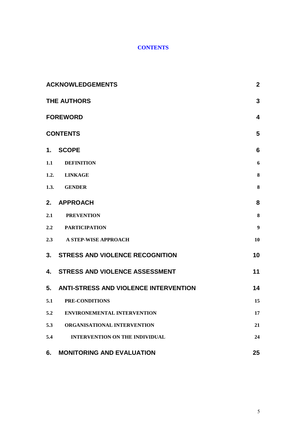# **CONTENTS**

|     | <b>ACKNOWLEDGEMENTS</b>                  |                  |
|-----|------------------------------------------|------------------|
|     | 3<br>THE AUTHORS                         |                  |
|     | <b>FOREWORD</b><br>$\boldsymbol{4}$      |                  |
|     | <b>CONTENTS</b>                          | 5                |
| 1.  | <b>SCOPE</b>                             | $6\phantom{1}$   |
| 1.1 | <b>DEFINITION</b>                        | 6                |
|     | 1.2. LINKAGE                             | 8                |
|     | 1.3. GENDER                              | 8                |
| 2.  | <b>APPROACH</b>                          | 8                |
| 2.1 | <b>PREVENTION</b>                        | $\bf{8}$         |
|     | 2.2 PARTICIPATION                        | $\boldsymbol{9}$ |
|     | 2.3 A STEP-WISE APPROACH                 | 10               |
|     | 3. STRESS AND VIOLENCE RECOGNITION       | 10               |
| 4.  | <b>STRESS AND VIOLENCE ASSESSMENT</b>    | 11               |
|     | 5. ANTI-STRESS AND VIOLENCE INTERVENTION | 14               |
| 5.1 | PRE-CONDITIONS                           | 15               |
| 5.2 | <b>ENVIRONEMENTAL INTERVENTION</b>       | 17               |
| 5.3 | ORGANISATIONAL INTERVENTION              | 21               |
| 5.4 | <b>INTERVENTION ON THE INDIVIDUAL</b>    | 24               |
| 6.  | <b>MONITORING AND EVALUATION</b>         | 25               |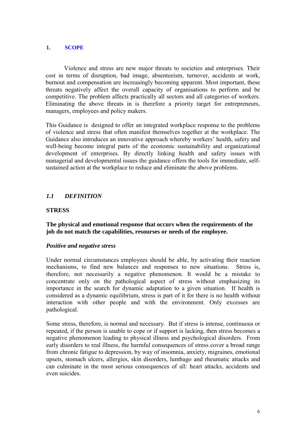#### <span id="page-5-0"></span>**1. SCOPE**

Violence and stress are new major threats to societies and enterprises. Their cost in terms of disruption, bad image, absenteeism, turnover, accidents at work, burnout and compensation are increasingly becoming apparent. Most important, these threats negatively affect the overall capacity of organisations to perform and be competitive. The problem affects practically all sectors and all categories of workers. Eliminating the above threats in is therefore a priority target for entrepreneurs, managers, employees and policy makers.

This Guidance is designed to offer an integrated workplace response to the problems of violence and stress that often manifest themselves together at the workplace. The Guidance also introduces an innovative approach whereby workers' health, safety and well-being become integral parts of the economic sustainability and organizational development of enterprises. By directly linking health and safety issues with managerial and developmental issues the guidance offers the tools for immediate, selfsustained action at the workplace to reduce and eliminate the above problems.

# *1.1 DEFINITION*

#### **STRESS**

**The physical and emotional response that occurs when the requirements of the job do not match the capabilities, resourses or needs of the employee.**

#### *Positive and negative stress*

Under normal circumstances employees should be able, by activating their reaction mechanisms, to find new balances and responses to new situations. Stress is, therefore, not necessarily a negative phenomenon. It would be a mistake to concentrate only on the pathological aspect of stress without emphasizing its importance in the search for dynamic adaptation to a given situation. If health is considered as a dynamic equilibrium, stress is part of it for there is no health without interaction with other people and with the environment. Only excesses are pathological.

Some stress, therefore, is normal and necessary. But if stress is intense, continuous or repeated, if the person is unable to cope or if support is lacking, then stress becomes a negative phenomenon leading to physical illness and psychological disorders. From early disorders to real illness, the harmful consequences of stress cover a broad range from chronic fatigue to depression, by way of insomnia, anxiety, migraines, emotional upsets, stomach ulcers, allergies, skin disorders, lumbago and rheumatic attacks and can culminate in the most serious consequences of all: heart attacks, accidents and even suicides.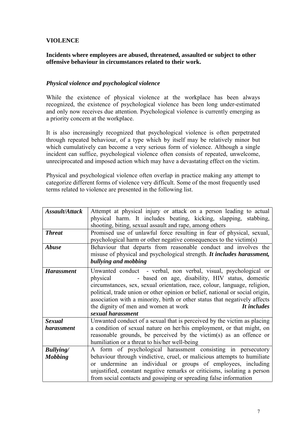# **VIOLENCE**

#### **Incidents where employees are abused, threatened, assaulted or subject to other offensive behaviour in circumstances related to their work.**

#### *Physical violence and psychological violence*

While the existence of physical violence at the workplace has been always recognized, the existence of psychological violence has been long under-estimated and only now receives due attention. Psychological violence is currently emerging as a priority concern at the workplace.

It is also increasingly recognized that psychological violence is often perpetrated through repeated behaviour, of a type which by itself may be relatively minor but which cumulatively can become a very serious form of violence. Although a single incident can suffice, psychological violence often consists of repeated, unwelcome, unreciprocated and imposed action which may have a devastating effect on the victim.

Physical and psychological violence often overlap in practice making any attempt to categorize different forms of violence very difficult. Some of the most frequently used terms related to violence are presented in the following list.

| Assault/Attack    | Attempt at physical injury or attack on a person leading to actual<br>physical harm. It includes beating, kicking, slapping, stabbing,<br>shooting, biting, sexual assault and rape, among others                                                                                                                                                                                                                                                       |  |
|-------------------|---------------------------------------------------------------------------------------------------------------------------------------------------------------------------------------------------------------------------------------------------------------------------------------------------------------------------------------------------------------------------------------------------------------------------------------------------------|--|
| <b>Threat</b>     | Promised use of unlawful force resulting in fear of physical, sexual,<br>psychological harm or other negative consequences to the victim(s)                                                                                                                                                                                                                                                                                                             |  |
| <b>Abuse</b>      | Behaviour that departs from reasonable conduct and involves the<br>misuse of physical and psychological strength. It includes harassment,<br>bullying and mobbing                                                                                                                                                                                                                                                                                       |  |
| <b>Harassment</b> | Unwanted conduct - verbal, non verbal, visual, psychological or<br>- based on age, disability, HIV status, domestic<br>physical<br>circumstances, sex, sexual orientation, race, colour, language, religion,<br>political, trade union or other opinion or belief, national or social origin,<br>association with a minority, birth or other status that negatively affects<br>It includes<br>the dignity of men and women at work<br>sexual harassment |  |
| <b>Sexual</b>     | Unwanted conduct of a sexual that is perceived by the victim as placing                                                                                                                                                                                                                                                                                                                                                                                 |  |
| <i>harassment</i> | a condition of sexual nature on her/his employment, or that might, on<br>reasonable grounds, be perceived by the victim(s) as an offence or<br>humiliation or a threat to his/her well-being                                                                                                                                                                                                                                                            |  |
| <b>Bullying</b>   | A form of psychological harassment consisting in persecutory                                                                                                                                                                                                                                                                                                                                                                                            |  |
| <b>Mobbing</b>    | behaviour through vindictive, cruel, or malicious attempts to humiliate<br>or undermine an individual or groups of employees, including<br>unjustified, constant negative remarks or criticisms, isolating a person<br>from social contacts and gossiping or spreading false information                                                                                                                                                                |  |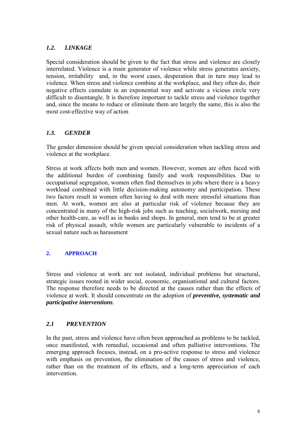# <span id="page-7-0"></span>*1.2. LINKAGE*

Special consideration should be given to the fact that stress and violence are closely interrelated. Violence is a main generator of violence while stress generates anxiety, tension, irritability and, in the worst cases, desperation that in turn may lead to violence. When stress and violence combine at the workplace, and they often do, their negative effects cumulate in an exponential way and activate a vicious circle very difficult to disentangle. It is therefore important to tackle stress and violence together and, since the means to reduce or eliminate them are largely the same, this is also the most cost-effective way of action

### *1.3. GENDER*

The gender dimension should be given special consideration when tackling stress and violence at the workplace.

Stress at work affects both men and women. However, women are often faced with the additional burden of combining family and work responsibilities. Due to occupational segregation, women often find themselves in jobs where there is a heavy workload combined with little decision-making autonomy and participation. These two factors result in women often having to deal with more stressful situations than men. At work, women are also at particular risk of violence because they are concentrated in many of the high-risk jobs such as teaching, socialwork, nursing and other health-care, as well as in banks and shops. In general, men tend to be at greater risk of physical assault, while women are particularly vulnerable to incidents of a sexual nature such as harassment

# **2. APPROACH**

Stress and violence at work are not isolated, individual problems but structural, strategic issues rooted in wider social, economic, organisational and cultural factors. The response therefore needs to be directed at the causes rather than the effects of violence at work. It should concentrate on the adoption of *preventive, systematic and participative interventions.*

# *2.1 PREVENTION*

In the past, stress and violence have often been approached as problems to be tackled, once manifested, with remedial, occasional and often palliative interventions. The emerging approach focuses, instead, on a pro-active response to stress and violence with emphasis on prevention, the elimination of the causes of stress and violence, rather than on the treatment of its effects, and a long-term appreciation of each intervention.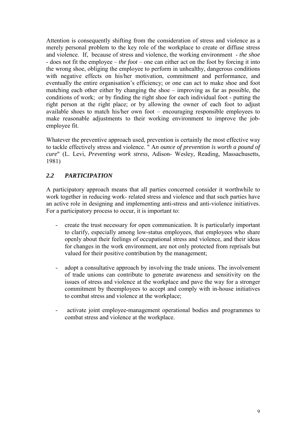<span id="page-8-0"></span>Attention is consequently shifting from the consideration of stress and violence as a merely personal problem to the key role of the workplace to create or diffuse stress and violence. If, because of stress and violence, the working environment - *the shoe* - does not fit the employee – *the foot* – one can either act on the foot by forcing it into the wrong shoe, obliging the employee to perform in unhealthy, dangerous conditions with negative effects on his/her motivation, commitment and performance, and eventually the entire organisation's efficiency; or one can act to make shoe and foot matching each other either by changing the shoe – improving as far as possible, the conditions of work; or by finding the right shoe for each individual foot - putting the right person at the right place; or by allowing the owner of each foot to adjust available shoes to match his/her own foot – encouraging responsible employees to make reasonable adjustments to their working environment to improve the jobemployee fit.

Whatever the preventive approach used, prevention is certainly the most effective way to tackle effectively stress and violence. " A*n ounce of prevention is worth a pound of cure*" (L. Levi, *Preventing work stress,* Adison- Wesley, Reading, Massachusetts, 1981)

# *2.2 PARTICIPATION*

A participatory approach means that all parties concerned consider it worthwhile to work together in reducing work- related stress and violence and that such parties have an active role in designing and implementing anti-stress and anti-violence initiatives. For a participatory process to occur, it is important to:

- create the trust necessary for open communication. It is particularly important to clarify, especially among low-status employees, that employees who share openly about their feelings of occupational stress and violence, and their ideas for changes in the work environment, are not only protected from reprisals but valued for their positive contribution by the management;
- adopt a consultative approach by involving the trade unions. The involvement of trade unions can contribute to generate awareness and sensitivity on the issues of stress and violence at the workplace and pave the way for a stronger commitment by theemployees to accept and comply with in-house initiatives to combat stress and violence at the workplace;
- activate joint employee-management operational bodies and programmes to combat stress and violence at the workplace.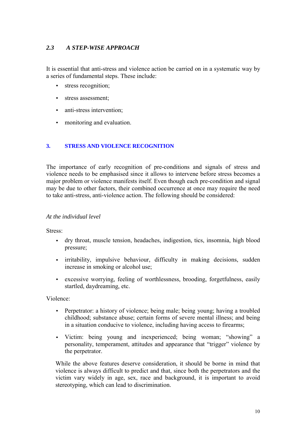# <span id="page-9-0"></span>*2.3 A STEP-WISE APPROACH*

It is essential that anti-stress and violence action be carried on in a systematic way by a series of fundamental steps. These include:

- [stress recognition;](http://www.ilo.org/public/english/protection/safework/stress/#s3b1)
- [stress assessment;](http://www.ilo.org/public/english/protection/safework/stress/#s3b2)
- [anti-stress intervention;](http://www.ilo.org/public/english/protection/safework/stress/#s3b3)
- [monitoring and evaluation.](http://www.ilo.org/public/english/protection/safework/stress/#s3b4)

#### **3. STRESS AND VIOLENCE RECOGNITION**

The importance of early recognition of pre-conditions and signals of stress and violence needs to be emphasised since it allows to intervene before stress becomes a major problem or violence manifests itself. Even though each pre-condition and signal may be due to other factors, their combined occurrence at once may require the need to take anti-stress, anti-violence action. The following should be considered:

#### *At the individual level*

Stress:

- dry throat, muscle tension, headaches, indigestion, tics, insomnia, high blood pressure;
- irritability, impulsive behaviour, difficulty in making decisions, sudden increase in smoking or alcohol use;
- excessive worrying, feeling of worthlessness, brooding, forgetfulness, easily startled, daydreaming, etc.

Violence:

- Perpetrator: a history of violence; being male; being young; having a troubled childhood; substance abuse; certain forms of severe mental illness; and being in a situation conducive to violence, including having access to firearms;
- Victim: being young and inexperienced; being woman; "showing" a personality, temperament, attitudes and appearance that "trigger" violence by the perpetrator.

While the above features deserve consideration, it should be borne in mind that violence is always difficult to predict and that, since both the perpetrators and the victim vary widely in age, sex, race and background, it is important to avoid stereotyping, which can lead to discrimination.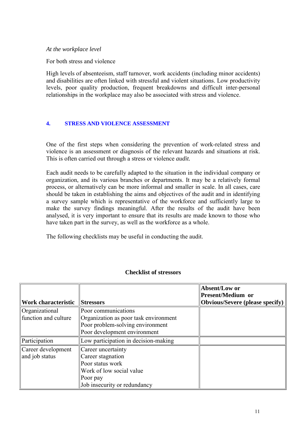<span id="page-10-0"></span>*At the workplace level*

For both stress and violence

High levels of absenteeism, staff turnover, work accidents (including minor accidents) and disabilities are often linked with stressful and violent situations. Low productivity levels, poor quality production, frequent breakdowns and difficult inter-personal relationships in the workplace may also be associated with stress and violence.

#### **4. STRESS AND VIOLENCE ASSESSMENT**

One of the first steps when considering the prevention of work-related stress and violence is an assessment or diagnosis of the relevant hazards and situations at risk. This is often carried out through a stress or violence *audit.*

Each audit needs to be carefully adapted to the situation in the individual company or organization, and its various branches or departments. It may be a relatively formal process, or alternatively can be more informal and smaller in scale. In all cases, care should be taken in establishing the aims and objectives of the audit and in identifying a survey sample which is representative of the workforce and sufficiently large to make the survey findings meaningful. After the results of the audit have been analysed, it is very important to ensure that its results are made known to those who have taken part in the survey, as well as the workforce as a whole.

The following checklists may be useful in conducting the audit.

|                                     |                                       | Absent/Low or<br><b>Present/Medium or</b> |
|-------------------------------------|---------------------------------------|-------------------------------------------|
| Work characteristic                 | <b>Stressors</b>                      | <b>Obvious/Severe (please specify)</b>    |
| <i><u><b>Organizational</b></u></i> | Poor communications                   |                                           |
| function and culture                | Organization as poor task environment |                                           |
|                                     | Poor problem-solving environment      |                                           |
|                                     | Poor development environment          |                                           |
| Participation                       | Low participation in decision-making  |                                           |
| Career development                  | Career uncertainty                    |                                           |
| and job status                      | Career stagnation                     |                                           |
|                                     | Poor status work                      |                                           |
|                                     | Work of low social value              |                                           |
|                                     | Poor pay                              |                                           |
|                                     | Job insecurity or redundancy          |                                           |

#### **Checklist of stressors**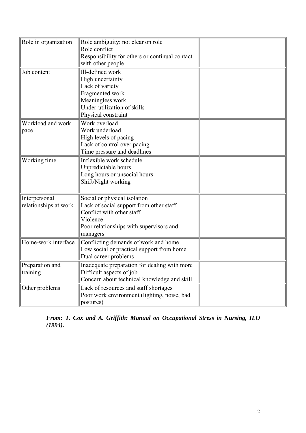| Role in organization                   | Role ambiguity: not clear on role<br>Role conflict<br>Responsibility for others or continual contact<br>with other people                                               |  |
|----------------------------------------|-------------------------------------------------------------------------------------------------------------------------------------------------------------------------|--|
| Job content                            | Ill-defined work<br>High uncertainty<br>Lack of variety<br>Fragmented work<br>Meaningless work<br>Under-utilization of skills<br>Physical constraint                    |  |
| Workload and work<br>pace              | Work overload<br>Work underload<br>High levels of pacing<br>Lack of control over pacing<br>Time pressure and deadlines                                                  |  |
| Working time                           | Inflexible work schedule<br>Unpredictable hours<br>Long hours or unsocial hours<br>Shift/Night working                                                                  |  |
| Interpersonal<br>relationships at work | Social or physical isolation<br>Lack of social support from other staff<br>Conflict with other staff<br>Violence<br>Poor relationships with supervisors and<br>managers |  |
| Home-work interface                    | Conflicting demands of work and home<br>Low social or practical support from home<br>Dual career problems                                                               |  |
| Preparation and<br>training            | Inadequate preparation for dealing with more<br>Difficult aspects of job<br>Concern about technical knowledge and skill                                                 |  |
| Other problems                         | Lack of resources and staff shortages<br>Poor work environment (lighting, noise, bad<br>postures)                                                                       |  |

*From: T. Cox and A. Griffith: Manual on Occupational Stress in Nursing, ILO (1994).*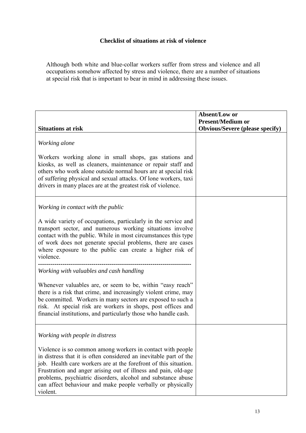# **Checklist of situations at risk of violence**

Although both white and blue-collar workers suffer from stress and violence and all occupations somehow affected by stress and violence, there are a number of situations at special risk that is important to bear in mind in addressing these issues.

| <b>Situations at risk</b>                                                                                                                                                                                                                                                                                                                                                                                        | Absent/Low or<br><b>Present/Medium or</b><br><b>Obvious/Severe (please specify)</b> |
|------------------------------------------------------------------------------------------------------------------------------------------------------------------------------------------------------------------------------------------------------------------------------------------------------------------------------------------------------------------------------------------------------------------|-------------------------------------------------------------------------------------|
| Working alone                                                                                                                                                                                                                                                                                                                                                                                                    |                                                                                     |
| Workers working alone in small shops, gas stations and<br>kiosks, as well as cleaners, maintenance or repair staff and<br>others who work alone outside normal hours are at special risk<br>of suffering physical and sexual attacks. Of lone workers, taxi<br>drivers in many places are at the greatest risk of violence.                                                                                      |                                                                                     |
| Working in contact with the public                                                                                                                                                                                                                                                                                                                                                                               |                                                                                     |
| A wide variety of occupations, particularly in the service and<br>transport sector, and numerous working situations involve<br>contact with the public. While in most circumstances this type<br>of work does not generate special problems, there are cases<br>where exposure to the public can create a higher risk of<br>violence.                                                                            |                                                                                     |
| Working with valuables and cash handling                                                                                                                                                                                                                                                                                                                                                                         |                                                                                     |
| Whenever valuables are, or seem to be, within "easy reach"<br>there is a risk that crime, and increasingly violent crime, may<br>be committed. Workers in many sectors are exposed to such a<br>risk. At special risk are workers in shops, post offices and<br>financial institutions, and particularly those who handle cash.                                                                                  |                                                                                     |
| Working with people in distress                                                                                                                                                                                                                                                                                                                                                                                  |                                                                                     |
| Violence is so common among workers in contact with people<br>in distress that it is often considered an inevitable part of the<br>job. Health care workers are at the forefront of this situation.<br>Frustration and anger arising out of illness and pain, old-age<br>problems, psychiatric disorders, alcohol and substance abuse<br>can affect behaviour and make people verbally or physically<br>violent. |                                                                                     |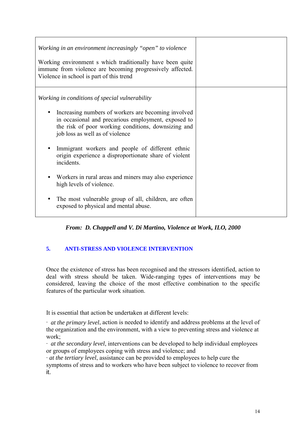<span id="page-13-0"></span>

| Working in an environment increasingly "open" to violence<br>Working environment s which traditionally have been quite<br>immune from violence are becoming progressively affected.<br>Violence in school is part of this trend                                                                                                                                                                                                            |  |
|--------------------------------------------------------------------------------------------------------------------------------------------------------------------------------------------------------------------------------------------------------------------------------------------------------------------------------------------------------------------------------------------------------------------------------------------|--|
| Working in conditions of special vulnerability<br>Increasing numbers of workers are becoming involved<br>in occasional and precarious employment, exposed to<br>the risk of poor working conditions, downsizing and<br>job loss as well as of violence<br>Immigrant workers and people of different ethnic<br>origin experience a disproportionate share of violent<br>incidents.<br>Workers in rural areas and miners may also experience |  |
| high levels of violence.<br>The most vulnerable group of all, children, are often<br>exposed to physical and mental abuse.                                                                                                                                                                                                                                                                                                                 |  |

*From: D. Chappell and V. Di Martino, Violence at Work, ILO, 2000*

# **5. ANTI-STRESS AND VIOLENCE INTERVENTION**

Once the existence of stress has been recognised and the stressors identified, action to deal with stress should be taken. Wide-ranging types of interventions may be considered, leaving the choice of the most effective combination to the specific features of the particular work situation.

It is essential that action be undertaken at different levels:

∙ *at the primary level*, action is needed to identify and address problems at the level of the organization and the environment, with a view to preventing stress and violence at work;

∙ *at the secondary level*, interventions can be developed to help individual employees or groups of employees coping with stress and violence; and

∙ *at the tertiary level*, assistance can be provided to employees to help cure the symptoms of stress and to workers who have been subject to violence to recover from it.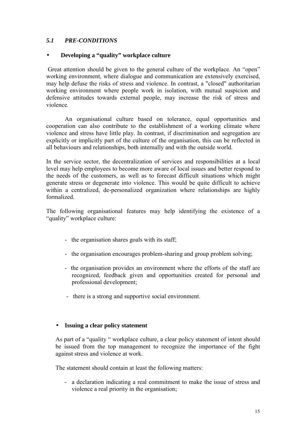# <span id="page-14-0"></span>*5.1 PRE-CONDITIONS*

#### • **Developing a "quality" workplace culture**

 Great attention should be given to the general culture of the workplace. An "open" working environment, where dialogue and communication are extensively exercised. may help defuse the risks of stress and violence. In contrast, a "closed" authoritarian working environment where people work in isolation, with mutual suspicion and defensive attitudes towards external people, may increase the risk of stress and violence.

An organisational culture based on tolerance, equal opportunities and cooperation can also contribute to the establishment of a working climate where violence and stress have little play. In contrast, if discrimination and segregation are explicitly or implicitly part of the culture of the organisation, this can be reflected in all behaviours and relationships, both internally and with the outside world.

In the service sector, the decentralization of services and responsibilities at a local level may help employees to become more aware of local issues and better respond to the needs of the customers, as well as to forecast difficult situations which might generate stress or degenerate into violence. This would be quite difficult to achieve within a centralized, de-personalized organization where relationships are highly formalized.

The following organisational features may help identifying the existence of a "quality" workplace culture:

- the organisation shares goals with its staff;
- the organisation encourages problem-sharing and group problem solving;
- the organisation provides an environment where the efforts of the staff are recognized, feedback given and opportunities created for personal and professional development;
- there is a strong and supportive social environment.

#### • **Issuing a clear policy statement**

As part of a "quality " workplace culture, a clear policy statement of intent should be issued from the top management to recognize the importance of the fight against stress and violence at work.

The statement should contain at least the following matters:

- a declaration indicating a real commitment to make the issue of stress and violence a real priority in the organisation;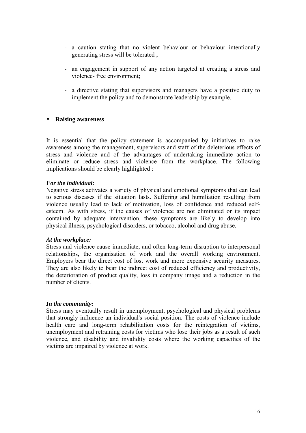- a caution stating that no violent behaviour or behaviour intentionally generating stress will be tolerated ;
- an engagement in support of any action targeted at creating a stress and violence- free environment;
- a directive stating that supervisors and managers have a positive duty to implement the policy and to demonstrate leadership by example.

#### • **Raising awareness**

It is essential that the policy statement is accompanied by initiatives to raise awareness among the management, supervisors and staff of the deleterious effects of stress and violence and of the advantages of undertaking immediate action to eliminate or reduce stress and violence from the workplace. The following implications should be clearly highlighted :

#### *For the individual:*

Negative stress activates a variety of physical and emotional symptoms that can lead to serious diseases if the situation lasts. Suffering and humiliation resulting from violence usually lead to lack of motivation, loss of confidence and reduced selfesteem. As with stress, if the causes of violence are not eliminated or its impact contained by adequate intervention, these symptoms are likely to develop into physical illness, psychological disorders, or tobacco, alcohol and drug abuse.

#### *At the workplace:*

Stress and violence cause immediate, and often long-term disruption to interpersonal relationships, the organisation of work and the overall working environment. Employers bear the direct cost of lost work and more expensive security measures. They are also likely to bear the indirect cost of reduced efficiency and productivity, the deterioration of product quality, loss in company image and a reduction in the number of clients.

#### *In the community:*

Stress may eventually result in unemployment, psychological and physical problems that strongly influence an individual's social position. The costs of violence include health care and long-term rehabilitation costs for the reintegration of victims, unemployment and retraining costs for victims who lose their jobs as a result of such violence, and disability and invalidity costs where the working capacities of the victims are impaired by violence at work.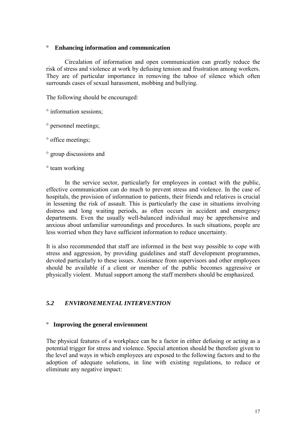#### <span id="page-16-0"></span>**° Enhancing information and communication**

Circulation of information and open communication can greatly reduce the risk of stress and violence at work by defusing tension and frustration among workers. They are of particular importance in removing the taboo of silence which often surrounds cases of sexual harassment, mobbing and bullying.

The following should be encouraged:

° information sessions;

° personnel meetings;

° office meetings;

° group discussions and

° team working

In the service sector, particularly for employees in contact with the public, effective communication can do much to prevent stress and violence. In the case of hospitals, the provision of information to patients, their friends and relatives is crucial in lessening the risk of assault. This is particularly the case in situations involving distress and long waiting periods, as often occurs in accident and emergency departments. Even the usually well-balanced individual may be apprehensive and anxious about unfamiliar surroundings and procedures. In such situations, people are less worried when they have sufficient information to reduce uncertainty.

It is also recommended that staff are informed in the best way possible to cope with stress and aggression, by providing guidelines and staff development programmes, devoted particularly to these issues. Assistance from supervisors and other employees should be available if a client or member of the public becomes aggressive or physically violent. Mutual support among the staff members should be emphasized.

### *5.2 ENVIRONEMENTAL INTERVENTION*

#### **° Improving the general environment**

The physical features of a workplace can be a factor in either defusing or acting as a potential trigger for stress and violence. Special attention should be therefore given to the level and ways in which employees are exposed to the following factors and to the adoption of adequate solutions, in line with existing regulations, to reduce or eliminate any negative impact: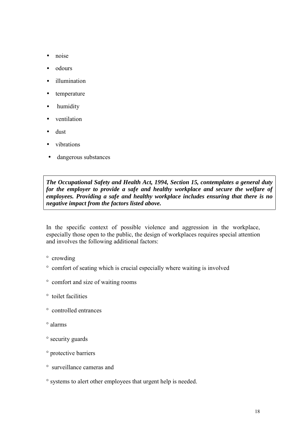- noise
- odours
- illumination
- temperature
- humidity
- ventilation
- dust
- vibrations
- dangerous substances

*The Occupational Safety and Health Act, 1994, Section 15, contemplates a general duty for the employer to provide a safe and healthy workplace and secure the welfare of employees. Providing a safe and healthy workplace includes ensuring that there is no negative impact from the factors listed above.*

In the specific context of possible violence and aggression in the workplace, especially those open to the public, the design of workplaces requires special attention and involves the following additional factors:

- ° crowding
- ° comfort of seating which is crucial especially where waiting is involved
- ° comfort and size of waiting rooms
- ° toilet facilities
- ° controlled entrances
- ° alarms
- ° security guards
- ° protective barriers
- ° surveillance cameras and
- ° systems to alert other employees that urgent help is needed.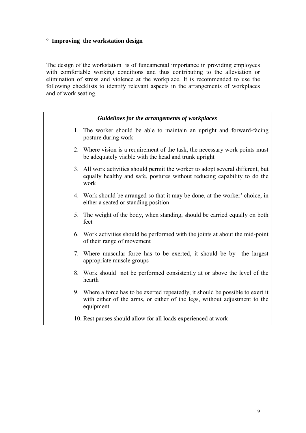# **° Improving the workstation design**

The design of the workstation is of fundamental importance in providing employees with comfortable working conditions and thus contributing to the alleviation or elimination of stress and violence at the workplace. It is recommended to use the following checklists to identify relevant aspects in the arrangements of workplaces and of work seating.

| Guidelines for the arrangements of workplaces                                                                                                                              |
|----------------------------------------------------------------------------------------------------------------------------------------------------------------------------|
| 1. The worker should be able to maintain an upright and forward-facing<br>posture during work                                                                              |
| 2. Where vision is a requirement of the task, the necessary work points must<br>be adequately visible with the head and trunk upright                                      |
| 3. All work activities should permit the worker to adopt several different, but<br>equally healthy and safe, postures without reducing capability to do the<br>work        |
| 4. Work should be arranged so that it may be done, at the worker' choice, in<br>either a seated or standing position                                                       |
| 5. The weight of the body, when standing, should be carried equally on both<br>feet                                                                                        |
| 6. Work activities should be performed with the joints at about the mid-point<br>of their range of movement                                                                |
| 7. Where muscular force has to be exerted, it should be by the largest<br>appropriate muscle groups                                                                        |
| 8. Work should not be performed consistently at or above the level of the<br>hearth                                                                                        |
| 9. Where a force has to be exerted repeatedly, it should be possible to exert it<br>with either of the arms, or either of the legs, without adjustment to the<br>equipment |
| 10. Rest pauses should allow for all loads experienced at work                                                                                                             |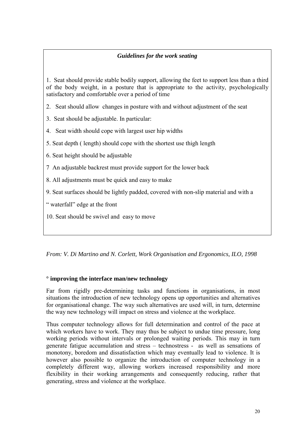## *Guidelines for the work seating*

1. Seat should provide stable bodily support, allowing the feet to support less than a third of the body weight, in a posture that is appropriate to the activity, psychologically satisfactory and comfortable over a period of time

- 2. Seat should allow changes in posture with and without adjustment of the seat
- 3. Seat should be adjustable. In particular:
- 4. Seat width should cope with largest user hip widths
- 5. Seat depth ( length) should cope with the shortest use thigh length
- 6. Seat height should be adjustable
- 7 An adjustable backrest must provide support for the lower back
- 8. All adjustments must be quick and easy to make
- 9. Seat surfaces should be lightly padded, covered with non-slip material and with a
- " waterfall" edge at the front
- 10. Seat should be swivel and easy to move

*From: V. Di Martino and N. Corlett, Work Organisation and Ergonomics, ILO, 1998*

### **° improving the interface man/new technology**

Far from rigidly pre-determining tasks and functions in organisations, in most situations the introduction of new technology opens up opportunities and alternatives for organisational change. The way such alternatives are used will, in turn, determine the way new technology will impact on stress and violence at the workplace.

Thus computer technology allows for full determination and control of the pace at which workers have to work. They may thus be subject to undue time pressure, long working periods without intervals or prolonged waiting periods. This may in turn generate fatigue accumulation and stress – technostress - as well as sensations of monotony, boredom and dissatisfaction which may eventually lead to violence. It is however also possible to organize the introduction of computer technology in a completely different way, allowing workers increased responsibility and more flexibility in their working arrangements and consequently reducing, rather that generating, stress and violence at the workplace.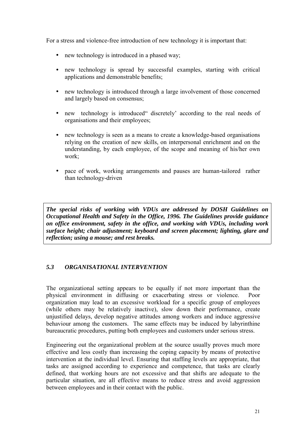<span id="page-20-0"></span>For a stress and violence-free introduction of new technology it is important that:

- new technology is introduced in a phased way:
- new technology is spread by successful examples, starting with critical applications and demonstrable benefits;
- new technology is introduced through a large involvement of those concerned and largely based on consensus;
- new technology is introduced discretely according to the real needs of organisations and their employees;
- new technology is seen as a means to create a knowledge-based organisations relying on the creation of new skills, on interpersonal enrichment and on the understanding, by each employee, of the scope and meaning of his/her own work;
- pace of work, working arrangements and pauses are human-tailored rather than technology-driven

*The special risks of working with VDUs are addressed by DOSH Guidelines on Occupational Health and Safety in the Office, 1996. The Guidelines provide guidance on office environment, safety in the office, and working with VDUs, including work surface height; chair adjustment; keyboard and screen placement; lighting, glare and reflection; using a mouse; and rest breaks.*

### *5.3 ORGANISATIONAL INTERVENTION*

The organizational setting appears to be equally if not more important than the physical environment in diffusing or exacerbating stress or violence. Poor organization may lead to an excessive workload for a specific group of employees (while others may be relatively inactive), slow down their performance, create unjustified delays, develop negative attitudes among workers and induce aggressive behaviour among the customers. The same effects may be induced by labyrinthine bureaucratic procedures, putting both employees and customers under serious stress.

Engineering out the organizational problem at the source usually proves much more effective and less costly than increasing the coping capacity by means of protective intervention at the individual level. Ensuring that staffing levels are appropriate, that tasks are assigned according to experience and competence, that tasks are clearly defined, that working hours are not excessive and that shifts are adequate to the particular situation, are all effective means to reduce stress and avoid aggression between employees and in their contact with the public.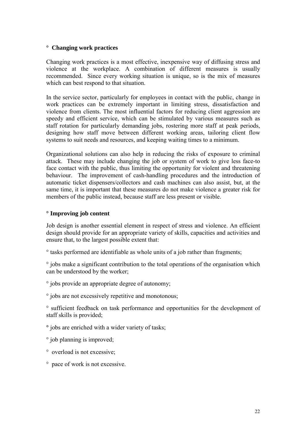#### **° Changing work practices**

Changing work practices is a most effective, inexpensive way of diffusing stress and violence at the workplace. A combination of different measures is usually recommended. Since every working situation is unique, so is the mix of measures which can best respond to that situation.

In the service sector, particularly for employees in contact with the public, change in work practices can be extremely important in limiting stress, dissatisfaction and violence from clients. The most influential factors for reducing client aggression are speedy and efficient service, which can be stimulated by various measures such as staff rotation for particularly demanding jobs, rostering more staff at peak periods, designing how staff move between different working areas, tailoring client flow systems to suit needs and resources, and keeping waiting times to a minimum.

Organizational solutions can also help in reducing the risks of exposure to criminal attack. These may include changing the job or system of work to give less face-to face contact with the public, thus limiting the opportunity for violent and threatening behaviour. The improvement of cash-handling procedures and the introduction of automatic ticket dispensers/collectors and cash machines can also assist, but, at the same time, it is important that these measures do not make violence a greater risk for members of the public instead, because staff are less present or visible.

#### **° Improving job content**

Job design is another essential element in respect of stress and violence. An efficient design should provide for an appropriate variety of skills, capacities and activities and ensure that, to the largest possible extent that:

° tasks performed are identifiable as whole units of a job rather than fragments;

° jobs make a significant contribution to the total operations of the organisation which can be understood by the worker;

° jobs provide an appropriate degree of autonomy;

° jobs are not excessively repetitive and monotonous;

° sufficient feedback on task performance and opportunities for the development of staff skills is provided;

**°** jobs are enriched with a wider variety of tasks;

° job planning is improved;

- ° overload is not excessive;
- ° pace of work is not excessive.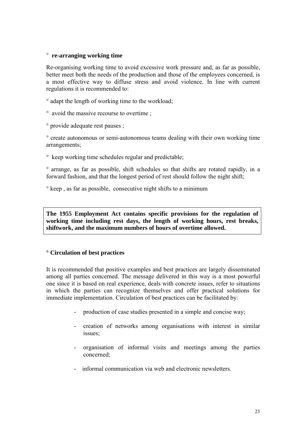#### ° **re-arranging working time**

Re-organising working time to avoid excessive work pressure and, as far as possible, better meet both the needs of the production and those of the employees concerned, is a most effective way to diffuse stress and avoid violence. In line with current regulations it is recommended to:

- ° adapt the length of working time to the workload;
- ° avoid the massive recourse to overtime ;

° provide adequate rest pauses ;

° create autonomous or semi-autonomous teams dealing with their own working time arrangements;

° keep working time schedules regular and predictable;

° arrange, as far as possible, shift schedules so that shifts are rotated rapidly, in a forward fashion, and that the longest period of rest should follow the night shift;

° keep , as far as possible, consecutive night shifts to a minimum

**The 1955 Employment Act contains specific provisions for the regulation of working time including rest days, the length of working hours, rest breaks, shiftwork, and the maximum numbers of hours of overtime allowed.**

#### **° Circulation of best practices**

It is recommended that positive examples and best practices are largely disseminated among all parties concerned. The message delivered in this way is a most powerful one since it is based on real experience, deals with concrete issues, refer to situations in which the parties can recognize themselves and offer practical solutions for immediate implementation. Circulation of best practices can be facilitated by:

- production of case studies presented in a simple and concise way;
- creation of networks among organisations with interest in similar issues;
- organisation of informal visits and meetings among the parties concerned;
- informal communication via web and electronic newsletters.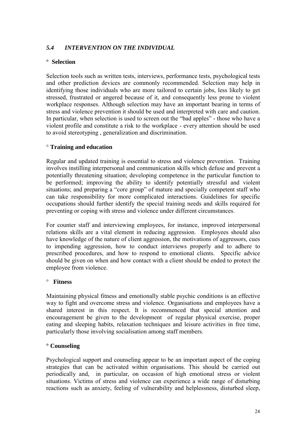# <span id="page-23-0"></span>*5.4 INTERVENTION ON THE INDIVIDUAL*

#### **° Selection**

Selection tools such as written tests, interviews, performance tests, psychological tests and other prediction devices are commonly recommended. Selection may help in identifying those individuals who are more tailored to certain jobs, less likely to get stressed, frustrated or angered because of it, and consequently less prone to violent workplace responses. Although selection may have an important bearing in terms of stress and violence prevention it should be used and interpreted with care and caution. In particular, when selection is used to screen out the "bad apples" - those who have a violent profile and constitute a risk to the workplace - every attention should be used to avoid stereotyping , generalization and discrimination.

### ° **Training and education**

Regular and updated training is essential to stress and violence prevention. Training involves instilling interpersonal and communication skills which defuse and prevent a potentially threatening situation; developing competence in the particular function to be performed; improving the ability to identify potentially stressful and violent situations; and preparing a "core group" of mature and specially competent staff who can take responsibility for more complicated interactions. Guidelines for specific occupations should further identify the special training needs and skills required for preventing or coping with stress and violence under different circumstances.

For counter staff and interviewing employees, for instance, improved interpersonal relations skills are a vital element in reducing aggression. Employees should also have knowledge of the nature of client aggression, the motivations of aggressors, cues to impending aggression, how to conduct interviews properly and to adhere to prescribed procedures, and how to respond to emotional clients. Specific advice should be given on when and how contact with a client should be ended to protect the employee from violence.

#### ° **Fitness**

Maintaining physical fitness and emotionally stable psychic conditions is an effective way to fight and overcome stress and violence. Organisations and employees have a shared interest in this respect. It is recommenced that special attention and encouragement be given to the development of regular physical exercise, proper eating and sleeping habits, relaxation techniques and leisure activities in free time, particularly those involving socialisation among staff members.

#### **° Counseling**

Psychological support and counseling appear to be an important aspect of the coping strategies that can be activated within organisations. This should be carried out periodically and, in particular, on occasion of high emotional stress or violent situations. Victims of stress and violence can experience a wide range of disturbing reactions such as anxiety, feeling of vulnerability and helplessness, disturbed sleep,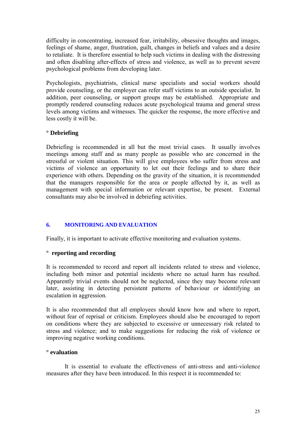<span id="page-24-0"></span>difficulty in concentrating, increased fear, irritability, obsessive thoughts and images, feelings of shame, anger, frustration, guilt, changes in beliefs and values and a desire to retaliate. It is therefore essential to help such victims in dealing with the distressing and often disabling after-effects of stress and violence, as well as to prevent severe psychological problems from developing later.

Psychologists, psychiatrists, clinical nurse specialists and social workers should provide counseling, or the employer can refer staff victims to an outside specialist. In addition, peer counseling, or support groups may be established. Appropriate and promptly rendered counseling reduces acute psychological trauma and general stress levels among victims and witnesses. The quicker the response, the more effective and less costly it will be.

#### **° Debriefing**

Debriefing is recommended in all but the most trivial cases. It usually involves meetings among staff and as many people as possible who are concerned in the stressful or violent situation. This will give employees who suffer from stress and victims of violence an opportunity to let out their feelings and to share their experience with others. Depending on the gravity of the situation, it is recommended that the managers responsible for the area or people affected by it, as well as management with special information or relevant expertise, be present. External consultants may also be involved in debriefing activities.

### **6. MONITORING AND EVALUATION**

Finally, it is important to activate effective monitoring and evaluation systems.

#### **° reporting and recording**

It is recommended to record and report all incidents related to stress and violence, including both minor and potential incidents where no actual harm has resulted. Apparently trivial events should not be neglected, since they may become relevant later, assisting in detecting persistent patterns of behaviour or identifying an escalation in aggression.

It is also recommended that all employees should know how and where to report, without fear of reprisal or criticism. Employees should also be encouraged to report on conditions where they are subjected to excessive or unnecessary risk related to stress and violence; and to make suggestions for reducing the risk of violence or improving negative working conditions.

#### **° evaluation**

It is essential to evaluate the effectiveness of anti-stress and anti-violence measures after they have been introduced. In this respect it is recommended to: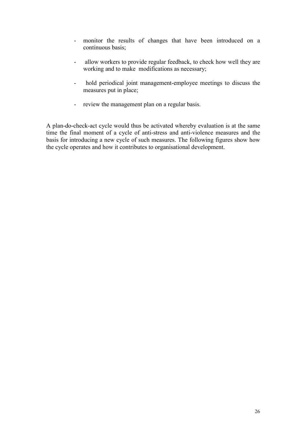- monitor the results of changes that have been introduced on a continuous basis;
- allow workers to provide regular feedback, to check how well they are working and to make modifications as necessary;
- hold periodical joint management-employee meetings to discuss the measures put in place;
- review the management plan on a regular basis.

A plan-do-check-act cycle would thus be activated whereby evaluation is at the same time the final moment of a cycle of anti-stress and anti-violence measures and the basis for introducing a new cycle of such measures. The following figures show how the cycle operates and how it contributes to organisational development.